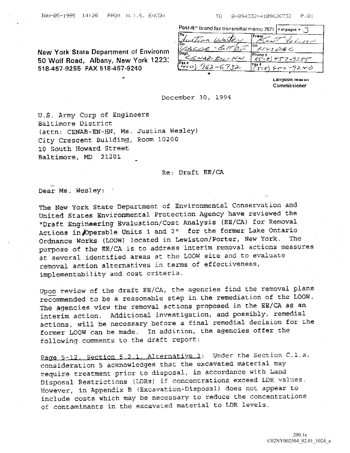JflN051995 1428 FPUM H.I.E ENCUN TO 989433241O962E22 P.01

Post-It<sup>r</sup> brand fax transmittal memo 7671  $\frac{1}{2}$  of pages  $\frac{1}{2}$ 

|                                                                                                                |                              | $Fron \sim$                          |
|----------------------------------------------------------------------------------------------------------------|------------------------------|--------------------------------------|
| New York State Department of Environm<br>50 Wolf Road, Albany, New York 1223.<br>518-457-9255 FAX 518-457-9240 | $-8$ $\pi$ to $\pi$<br>SACOE | メリシュロミニ                              |
|                                                                                                                | Dept<br>CENAB-EN-HN<br>Faxn  | Phone #<br>سيهيو بريسية سوسو المقارس |
|                                                                                                                |                              | Fax #<br>・ラスシン                       |
|                                                                                                                |                              |                                      |

Langoon marsii Commissioner

## December 30, 1994

U.S. Army Corp of Engineers Baltimore District (attn: CENAB-EN-HN, Ms. Justina Wesley) City Crescent Building, Room 10200 <sup>10</sup> South Howard Street Baltimore, MD 21201

Re: Draft EE/CA

Dear Ms. Wesley:

The New York State Department of Environmental Conservation and United States Environmental Protection Agency have reviewed the "Draft Engineering Evaluation/Cost Analysis (EE/CA) for Removal Actions in Operable Units 1 and 2" for the former Lake Ontario Ordnance Works (LOOW) located in Lewiston/Porter, New York. purpose of the BE/CA is to address interim removal actions measures at several identified areas at the LOON site and to evaluate removal action alternatives in terms of effectiveness implementability and cost criteria.

Upon review of the draft EE/CA, the agencies find the removal plans recommended to be a reasonable step in the remediation of the LOOW. The agencies view the removal actions proposed in the EE/CA as an interim action. Additional investigation, and possibly, remedial actions, will be necessary before a final remedial decision for the former LOOW can be made. In addition, the agencies offer the following comments to the draft report:

Page 5-12, Section 5.2.1. Alternative 3: Under the Section C.1.a, consideration 5 acknowledges that the excavated material may require treatment prior to disposal, in accordance with Land Disposal Restrictions (LDRs) if concentrations exceed LDR values. However, in Appendix B (Excavation-Disposal) does not appear to include costs which may be necessary to reduce the concentrations of contaminants in the excavated material to LDR levels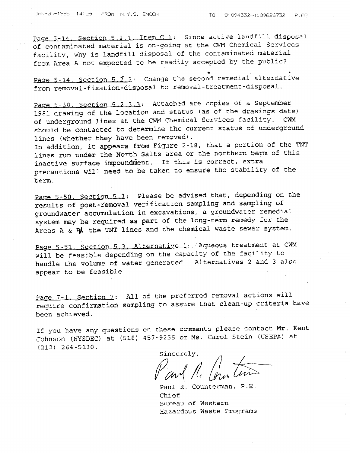Page 5-14. Section 5.2.1. Item C.1: Since active landfill disposal of contaminated material is on-going at the CWM Chemical Services facility, why is landfill disposal of the contaminated material from Area A not expected to be readily accepted by the public?

Page  $5-14$ . Section  $5.2$ . Change the second remedial alternative from removal-fixation-disposal to removal-treatment-disposal.

Page 5-38. Section 5.2.3.3: Attached are copies of a September 1981 drawing of the location and status (as of the drawings date)<br>of underground lines at the CWM Chemical Services facility. CWM of underground lines at the CWM Chemical Services facility. should be contacted to determine the current status of underground lines (whether they have been removed).

In addition, it appears from Figure 2-18, that a portion of the TNT lines run under the North Salts area or the northern berm of this inactive surface impoundment. If this is correct, extra precautions will need to be taken to ensure the stability of the berm

Page 5-50. Section 5.3: Please be advised that, depending on the results of post-removal verification sampling and sampling of groundwater accumulation in excavations, a groundwater remedial system may be required as part of the long-term remedy for the Areas A & By, the TNT lines and the chemical waste sewer system.

Page 5-51. Section 5.3. Alternative 1: Aqueous treatment at CWM will be feasible depending on the capacity of the facility to handle the volume of water generated. Alternatives 2 and 3 also appear to be feasible.

Page 7-1. Section 7: All of the preferred removal actions will require confirmation sampling to assure that clean-up criteria have been achieved

If you have any questions on these comments please contact Mr. Kent Johnson (NYSDEC) at (518) 457-9255 or Ms. Carol Stein (USEPA) at  $(212)$  264-5130.

Sincerely,

Paul R. Counterman, P.E. Chief Rureau of Western Hazardous Waste Programs